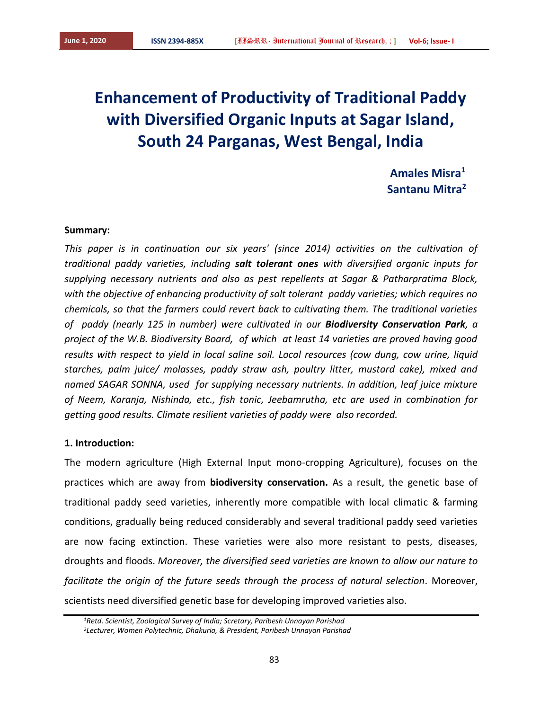# **Enhancement of Productivity of Traditional Paddy with Diversified Organic Inputs at Sagar Island, South 24 Parganas, West Bengal, India**

*Amales Misra***<sup>1</sup> Santanu Mitra<sup>2</sup>**

#### **Summary:**

*This paper is in continuation our six years' (since 2014) activities on the cultivation of traditional paddy varieties, including salt tolerant ones with diversified organic inputs for supplying necessary nutrients and also as pest repellents at Sagar & Patharpratima Block, with the objective of enhancing productivity of salt tolerant paddy varieties; which requires no chemicals, so that the farmers could revert back to cultivating them. The traditional varieties of paddy (nearly 125 in number) were cultivated in our Biodiversity Conservation Park, a project of the W.B. Biodiversity Board, of which at least 14 varieties are proved having good results with respect to yield in local saline soil. Local resources (cow dung, cow urine, liquid starches, palm juice/ molasses, paddy straw ash, poultry litter, mustard cake), mixed and named SAGAR SONNA, used for supplying necessary nutrients. In addition, leaf juice mixture of Neem, Karanja, Nishinda, etc., fish tonic, Jeebamrutha, etc are used in combination for getting good results. Climate resilient varieties of paddy were also recorded.*

## **1. Introduction:**

The modern agriculture (High External Input mono-cropping Agriculture), focuses on the practices which are away from **biodiversity conservation.** As a result, the genetic base of traditional paddy seed varieties, inherently more compatible with local climatic & farming conditions, gradually being reduced considerably and several traditional paddy seed varieties are now facing extinction. These varieties were also more resistant to pests, diseases, droughts and floods. *Moreover, the diversified seed varieties are known to allow our nature to facilitate the origin of the future seeds through the process of natural selection*. Moreover, scientists need diversified genetic base for developing improved varieties also.

*<sup>1</sup>Retd. Scientist, Zoological Survey of India; Scretary, Paribesh Unnayan Parishad 2Lecturer, Women Polytechnic, Dhakuria, & President, Paribesh Unnayan Parishad*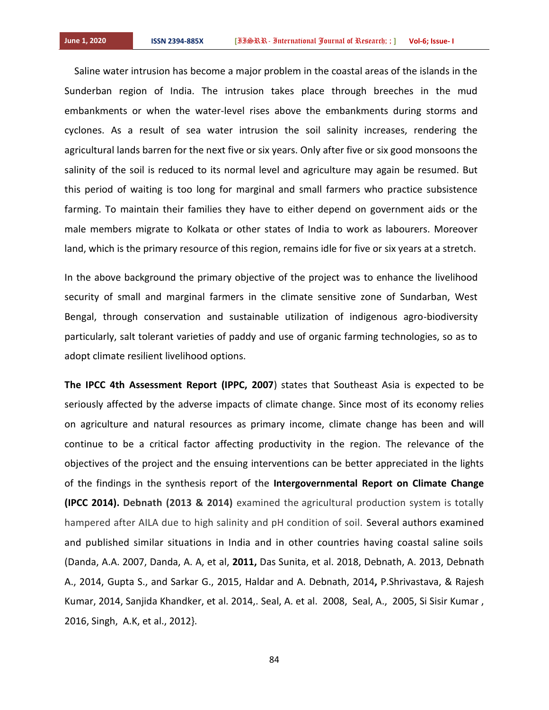Saline water intrusion has become a major problem in the coastal areas of the islands in the Sunderban region of India. The intrusion takes place through breeches in the mud embankments or when the water-level rises above the embankments during storms and cyclones. As a result of sea water intrusion the soil salinity increases, rendering the agricultural lands barren for the next five or six years. Only after five or six good monsoons the salinity of the soil is reduced to its normal level and agriculture may again be resumed. But this period of waiting is too long for marginal and small farmers who practice subsistence farming. To maintain their families they have to either depend on government aids or the male members migrate to Kolkata or other states of India to work as labourers. Moreover land, which is the primary resource of this region, remains idle for five or six years at a stretch.

In the above background the primary objective of the project was to enhance the livelihood security of small and marginal farmers in the climate sensitive zone of Sundarban, West Bengal, through conservation and sustainable utilization of indigenous agro-biodiversity particularly, salt tolerant varieties of paddy and use of organic farming technologies, so as to adopt climate resilient livelihood options.

**The IPCC 4th Assessment Report (IPPC, 2007**) states that Southeast Asia is expected to be seriously affected by the adverse impacts of climate change. Since most of its economy relies on agriculture and natural resources as primary income, climate change has been and will continue to be a critical factor affecting productivity in the region. The relevance of the objectives of the project and the ensuing interventions can be better appreciated in the lights of the findings in the synthesis report of the **Intergovernmental Report on Climate Change (IPCC 2014). Debnath (2013 & 2014)** examined the agricultural production system is totally hampered after AILA due to high salinity and pH condition of soil. Several authors examined and published similar situations in India and in other countries having coastal saline soils (Danda, A.A. 2007, Danda, A. A, et al, **2011,** Das Sunita, et al. 2018, Debnath, A. 2013, Debnath A., 2014, Gupta S., and Sarkar G., 2015, Haldar and A. Debnath, 2014**,** P.Shrivastava, & Rajesh Kumar, 2014, Sanjida Khandker, et al. 2014,. Seal, A. et al. 2008, Seal, A., 2005, Si Sisir Kumar , 2016, Singh, A.K, et al., 2012}.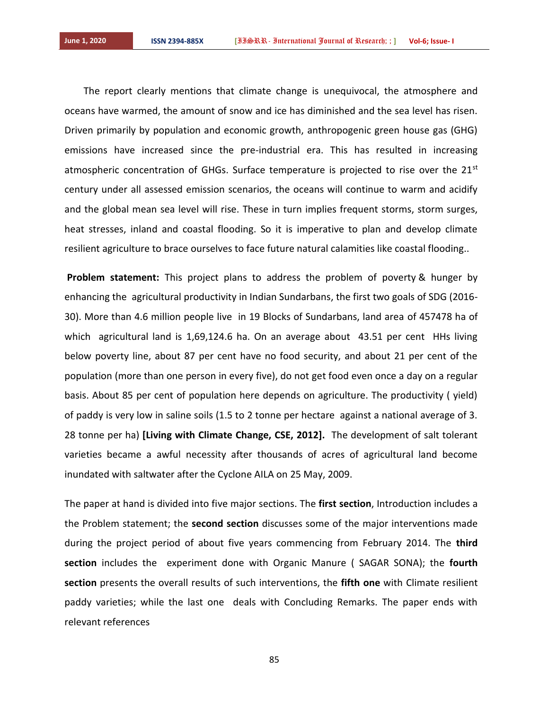The report clearly mentions that climate change is unequivocal, the atmosphere and oceans have warmed, the amount of snow and ice has diminished and the sea level has risen. Driven primarily by population and economic growth, anthropogenic green house gas (GHG) emissions have increased since the pre-industrial era. This has resulted in increasing atmospheric concentration of GHGs. Surface temperature is projected to rise over the  $21<sup>st</sup>$ century under all assessed emission scenarios, the oceans will continue to warm and acidify and the global mean sea level will rise. These in turn implies frequent storms, storm surges, heat stresses, inland and coastal flooding. So it is imperative to plan and develop climate resilient agriculture to brace ourselves to face future natural calamities like coastal flooding..

**Problem statement:** This project plans to address the problem of poverty & hunger by enhancing the agricultural productivity in Indian Sundarbans, the first two goals of SDG (2016- 30). More than 4.6 million people live in 19 Blocks of Sundarbans, land area of 457478 ha of which agricultural land is 1,69,124.6 ha. On an average about 43.51 per cent HHs living below poverty line, about 87 per cent have no food security, and about 21 per cent of the population (more than one person in every five), do not get food even once a day on a regular basis. About 85 per cent of population here depends on agriculture. The productivity ( yield) of paddy is very low in saline soils (1.5 to 2 tonne per hectare against a national average of 3. 28 tonne per ha) **[Living with Climate Change, CSE, 2012].** The development of salt tolerant varieties became a awful necessity after thousands of acres of agricultural land become inundated with saltwater after the Cyclone AILA on 25 May, 2009.

The paper at hand is divided into five major sections. The **first section**, Introduction includes a the Problem statement; the **second section** discusses some of the major interventions made during the project period of about five years commencing from February 2014. The **third section** includes the experiment done with Organic Manure ( SAGAR SONA); the **fourth section** presents the overall results of such interventions, the **fifth one** with Climate resilient paddy varieties; while the last one deals with Concluding Remarks. The paper ends with relevant references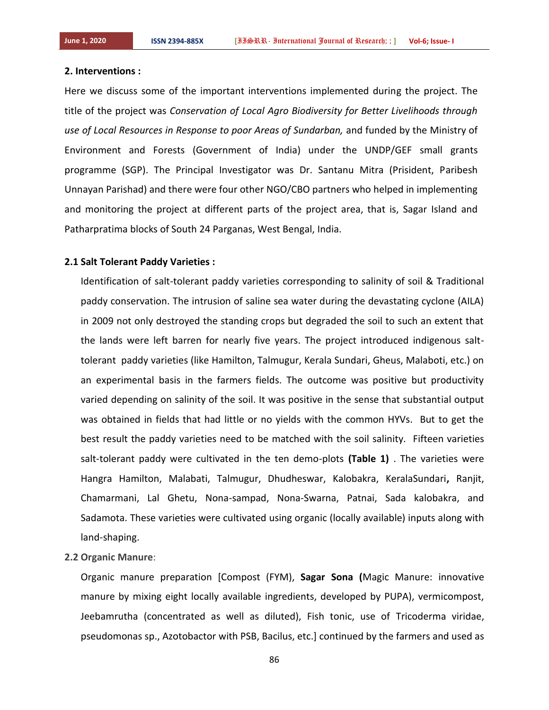#### **2. Interventions :**

Here we discuss some of the important interventions implemented during the project. The title of the project was *Conservation of Local Agro Biodiversity for Better Livelihoods through use of Local Resources in Response to poor Areas of Sundarban,* and funded by the Ministry of Environment and Forests (Government of India) under the UNDP/GEF small grants programme (SGP). The Principal Investigator was Dr. Santanu Mitra (Prisident, Paribesh Unnayan Parishad) and there were four other NGO/CBO partners who helped in implementing and monitoring the project at different parts of the project area, that is, Sagar Island and Patharpratima blocks of South 24 Parganas, West Bengal, India.

## **2.1 Salt Tolerant Paddy Varieties :**

Identification of salt-tolerant paddy varieties corresponding to salinity of soil & Traditional paddy conservation. The intrusion of saline sea water during the devastating cyclone (AILA) in 2009 not only destroyed the standing crops but degraded the soil to such an extent that the lands were left barren for nearly five years. The project introduced indigenous salttolerant paddy varieties (like Hamilton, Talmugur, Kerala Sundari, Gheus, Malaboti, etc.) on an experimental basis in the farmers fields. The outcome was positive but productivity varied depending on salinity of the soil. It was positive in the sense that substantial output was obtained in fields that had little or no yields with the common HYVs. But to get the best result the paddy varieties need to be matched with the soil salinity. Fifteen varieties salt-tolerant paddy were cultivated in the ten demo-plots **(Table 1)** . The varieties were Hangra Hamilton, Malabati, Talmugur, Dhudheswar, Kalobakra, KeralaSundari**,** Ranjit, Chamarmani, Lal Ghetu, Nona-sampad, Nona-Swarna, Patnai, Sada kalobakra, and Sadamota. These varieties were cultivated using organic (locally available) inputs along with land-shaping.

#### **2.2 Organic Manure**:

Organic manure preparation [Compost (FYM), **Sagar Sona (**Magic Manure: innovative manure by mixing eight locally available ingredients, developed by PUPA), vermicompost, Jeebamrutha (concentrated as well as diluted), Fish tonic, use of Tricoderma viridae, pseudomonas sp., Azotobactor with PSB, Bacilus, etc.] continued by the farmers and used as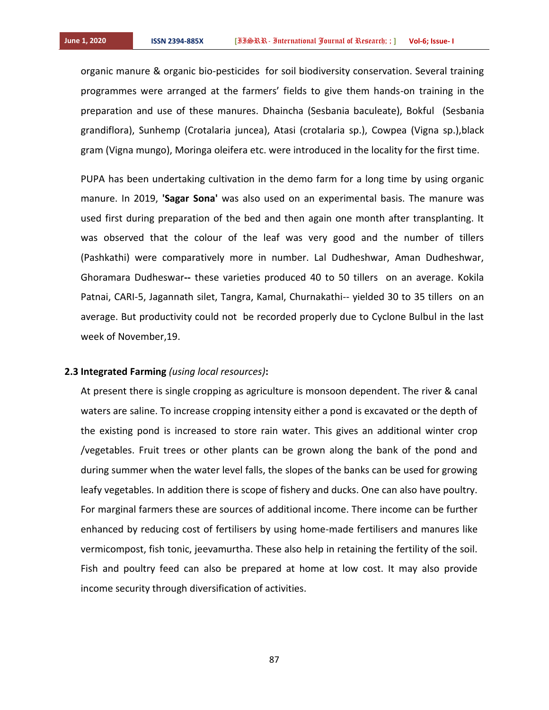organic manure & organic bio-pesticides for soil biodiversity conservation. Several training programmes were arranged at the farmers' fields to give them hands-on training in the preparation and use of these manures. Dhaincha (Sesbania baculeate), Bokful (Sesbania grandiflora), Sunhemp (Crotalaria juncea), Atasi (crotalaria sp.), Cowpea (Vigna sp.),black gram (Vigna mungo), Moringa oleifera etc. were introduced in the locality for the first time.

PUPA has been undertaking cultivation in the demo farm for a long time by using organic manure. In 2019, **'Sagar Sona'** was also used on an experimental basis. The manure was used first during preparation of the bed and then again one month after transplanting. It was observed that the colour of the leaf was very good and the number of tillers (Pashkathi) were comparatively more in number. Lal Dudheshwar, Aman Dudheshwar, Ghoramara Dudheswar**--** these varieties produced 40 to 50 tillers on an average. Kokila Patnai, CARI-5, Jagannath silet, Tangra, Kamal, Churnakathi-- yielded 30 to 35 tillers on an average. But productivity could not be recorded properly due to Cyclone Bulbul in the last week of November,19.

### **2.3 Integrated Farming** *(using local resources)***:**

At present there is single cropping as agriculture is monsoon dependent. The river & canal waters are saline. To increase cropping intensity either a pond is excavated or the depth of the existing pond is increased to store rain water. This gives an additional winter crop /vegetables. Fruit trees or other plants can be grown along the bank of the pond and during summer when the water level falls, the slopes of the banks can be used for growing leafy vegetables. In addition there is scope of fishery and ducks. One can also have poultry. For marginal farmers these are sources of additional income. There income can be further enhanced by reducing cost of fertilisers by using home-made fertilisers and manures like vermicompost, fish tonic, jeevamurtha. These also help in retaining the fertility of the soil. Fish and poultry feed can also be prepared at home at low cost. It may also provide income security through diversification of activities.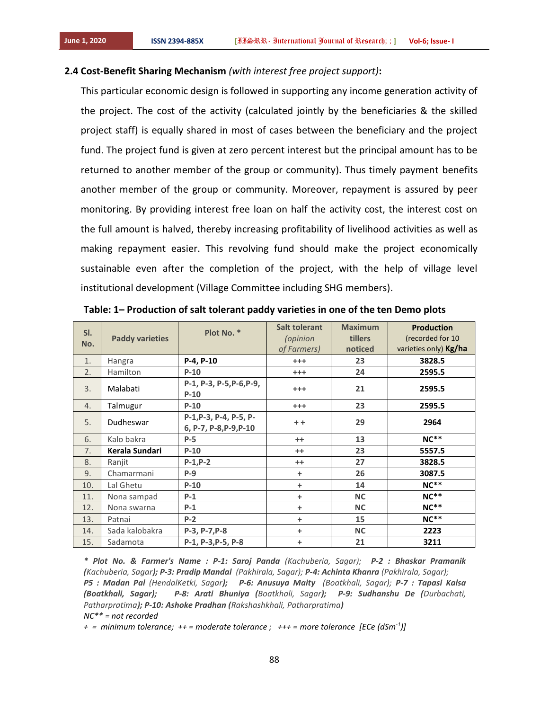## **2.4 Cost-Benefit Sharing Mechanism** *(with interest free project support)***:**

This particular economic design is followed in supporting any income generation activity of the project. The cost of the activity (calculated jointly by the beneficiaries & the skilled project staff) is equally shared in most of cases between the beneficiary and the project fund. The project fund is given at zero percent interest but the principal amount has to be returned to another member of the group or community). Thus timely payment benefits another member of the group or community. Moreover, repayment is assured by peer monitoring. By providing interest free loan on half the activity cost, the interest cost on the full amount is halved, thereby increasing profitability of livelihood activities as well as making repayment easier. This revolving fund should make the project economically sustainable even after the completion of the project, with the help of village level institutional development (Village Committee including SHG members).

| SI.<br>No. | <b>Paddy varieties</b> | Plot No. *                                       | <b>Salt tolerant</b><br>(opinion<br>of Farmers) | <b>Maximum</b><br>tillers<br>noticed | <b>Production</b><br>(recorded for 10<br>varieties only) Kg/ha |
|------------|------------------------|--------------------------------------------------|-------------------------------------------------|--------------------------------------|----------------------------------------------------------------|
| 1.         | Hangra                 | P-4, P-10                                        | $^{+++}$                                        | 23                                   | 3828.5                                                         |
| 2.         | Hamilton               | $P-10$                                           | $^{+++}$                                        | 24                                   | 2595.5                                                         |
| 3.         | Malabati               | P-1, P-3, P-5, P-6, P-9,<br>$P-10$               | $^{+++}$                                        | 21                                   | 2595.5                                                         |
| 4.         | Talmugur               | $P-10$                                           | $^{+++}$                                        | 23                                   | 2595.5                                                         |
| 5.         | Dudheswar              | P-1, P-3, P-4, P-5, P-<br>6, P-7, P-8, P-9, P-10 | $+ +$                                           | 29                                   | 2964                                                           |
| 6.         | Kalo bakra             | $P-5$                                            | $^{++}$                                         | 13                                   | $NC**$                                                         |
| 7.         | Kerala Sundari         | $P-10$                                           | $^{++}$                                         | 23                                   | 5557.5                                                         |
| 8.         | Ranjit                 | $P-1, P-2$                                       | $^{++}$                                         | 27                                   | 3828.5                                                         |
| 9.         | Chamarmani             | $P-9$                                            | +                                               | 26                                   | 3087.5                                                         |
| 10.        | Lal Ghetu              | $P-10$                                           | +                                               | 14                                   | $NC**$                                                         |
| 11.        | Nona sampad            | $P-1$                                            | $\ddot{}$                                       | <b>NC</b>                            | $NC**$                                                         |
| 12.        | Nona swarna            | $P-1$                                            | +                                               | <b>NC</b>                            | $NC**$                                                         |
| 13.        | Patnai                 | $P-2$                                            | $\ddot{}$                                       | 15                                   | $NC**$                                                         |
| 14.        | Sada kalobakra         | $P-3, P-7, P-8$                                  | $\ddot{}$                                       | <b>NC</b>                            | 2223                                                           |
| 15.        | Sadamota               | P-1, P-3, P-5, P-8                               | +                                               | 21                                   | 3211                                                           |

**Table: 1– Production of salt tolerant paddy varieties in one of the ten Demo plots**

*\* Plot No. & Farmer's Name : P-1: Saroj Panda (Kachuberia, Sagar); P-2 : Bhaskar Pramanik (Kachuberia, Sagar); P-3: Pradip Mandal (Pakhirala, Sagar); P-4: Achinta Khanra (Pakhirala, Sagar); P5 : Madan Pal (HendalKetki, Sagar); P-6: Anusuya Maity (Boatkhali, Sagar); P-7 : Tapasi Kalsa (Boatkhali, Sagar); P-8: Arati Bhuniya (Boatkhali, Sagar); P-9: Sudhanshu De (Durbachati, Patharpratima); P-10: Ashoke Pradhan (Rakshashkhali, Patharpratima) NC\*\* = not recorded*

*+ = minimum tolerance; ++ = moderate tolerance ; +++ = more tolerance [ECe (dSm-1 )]*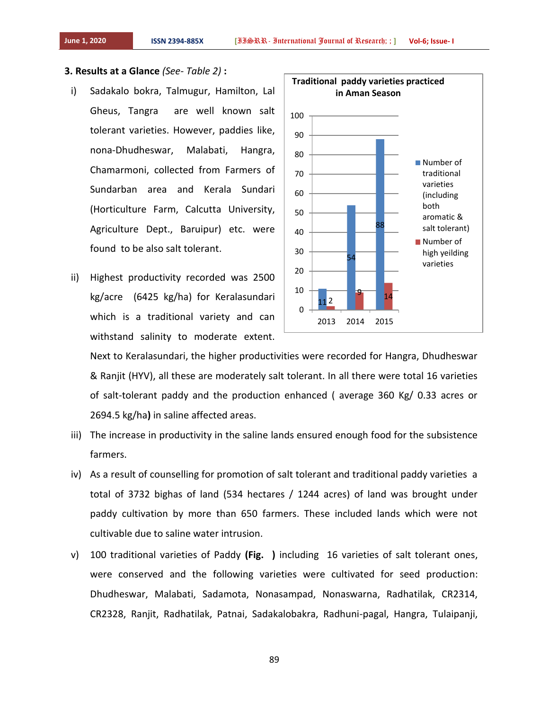#### **3. Results at a Glance** *(See- Table 2)* **:**

- i) Sadakalo bokra, Talmugur, Hamilton, Lal Gheus, Tangra are well known salt tolerant varieties. However, paddies like, nona-Dhudheswar, Malabati, Hangra, Chamarmoni, collected from Farmers of Sundarban area and Kerala Sundari (Horticulture Farm, Calcutta University, Agriculture Dept., Baruipur) etc. were found to be also salt tolerant.
- ii) Highest productivity recorded was 2500 kg/acre (6425 kg/ha) for Keralasundari which is a traditional variety and can withstand salinity to moderate extent.



Next to Keralasundari, the higher productivities were recorded for Hangra, Dhudheswar & Ranjit (HYV), all these are moderately salt tolerant. In all there were total 16 varieties of salt-tolerant paddy and the production enhanced ( average 360 Kg/ 0.33 acres or 2694.5 kg/ha**)** in saline affected areas.

- iii) The increase in productivity in the saline lands ensured enough food for the subsistence farmers.
- iv) As a result of counselling for promotion of salt tolerant and traditional paddy varieties a total of 3732 bighas of land (534 hectares / 1244 acres) of land was brought under paddy cultivation by more than 650 farmers. These included lands which were not cultivable due to saline water intrusion.
- v) 100 traditional varieties of Paddy **(Fig. )** including 16 varieties of salt tolerant ones, were conserved and the following varieties were cultivated for seed production: Dhudheswar, Malabati, Sadamota, Nonasampad, Nonaswarna, Radhatilak, CR2314, CR2328, Ranjit, Radhatilak, Patnai, Sadakalobakra, Radhuni-pagal, Hangra, Tulaipanji,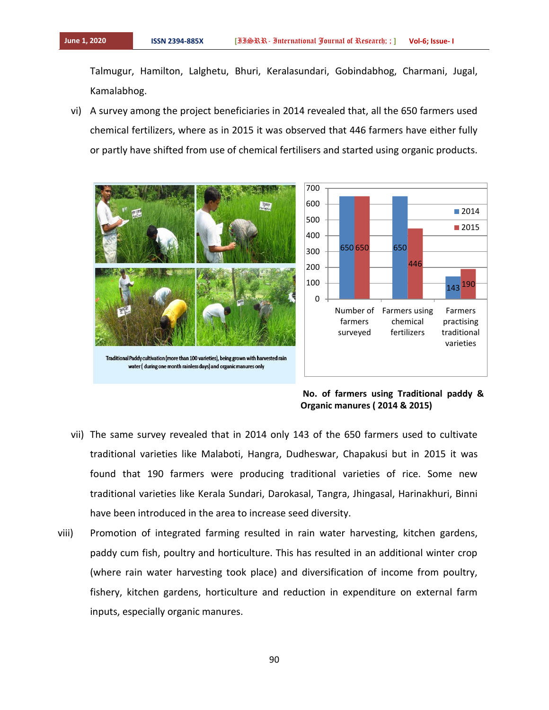Talmugur, Hamilton, Lalghetu, Bhuri, Keralasundari, Gobindabhog, Charmani, Jugal, Kamalabhog.

vi) A survey among the project beneficiaries in 2014 revealed that, all the 650 farmers used chemical fertilizers, where as in 2015 it was observed that 446 farmers have either fully or partly have shifted from use of chemical fertilisers and started using organic products.



**No. of farmers using Traditional paddy & Organic manures ( 2014 & 2015)**

- vii) The same survey revealed that in 2014 only 143 of the 650 farmers used to cultivate traditional varieties like Malaboti, Hangra, Dudheswar, Chapakusi but in 2015 it was found that 190 farmers were producing traditional varieties of rice. Some new traditional varieties like Kerala Sundari, Darokasal, Tangra, Jhingasal, Harinakhuri, Binni have been introduced in the area to increase seed diversity.
- viii) Promotion of integrated farming resulted in rain water harvesting, kitchen gardens, paddy cum fish, poultry and horticulture. This has resulted in an additional winter crop (where rain water harvesting took place) and diversification of income from poultry, fishery, kitchen gardens, horticulture and reduction in expenditure on external farm inputs, especially organic manures.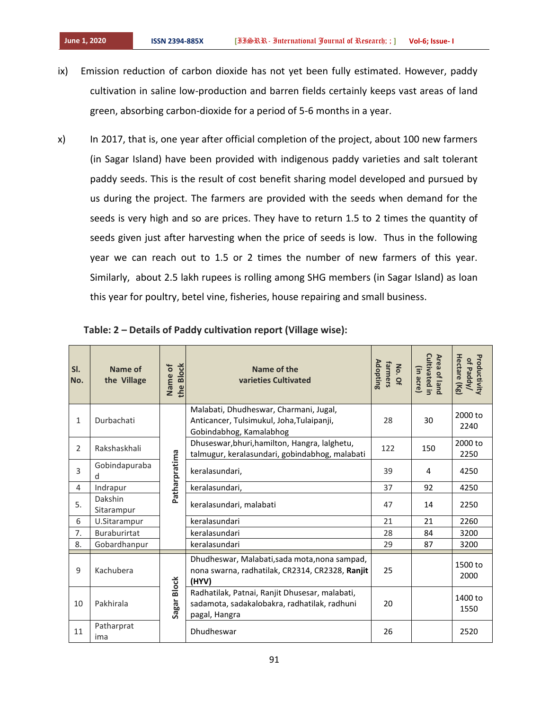- ix) Emission reduction of carbon dioxide has not yet been fully estimated. However, paddy cultivation in saline low-production and barren fields certainly keeps vast areas of land green, absorbing carbon-dioxide for a period of 5-6 months in a year.
- x) In 2017, that is, one year after official completion of the project, about 100 new farmers (in Sagar Island) have been provided with indigenous paddy varieties and salt tolerant paddy seeds. This is the result of cost benefit sharing model developed and pursued by us during the project. The farmers are provided with the seeds when demand for the seeds is very high and so are prices. They have to return 1.5 to 2 times the quantity of seeds given just after harvesting when the price of seeds is low. Thus in the following year we can reach out to 1.5 or 2 times the number of new farmers of this year. Similarly, about 2.5 lakh rupees is rolling among SHG members (in Sagar Island) as loan this year for poultry, betel vine, fisheries, house repairing and small business.

| SI.<br>No.     | Name of<br>the Village | <b>Block</b><br>ð<br>Name<br>the | Name of the<br>varieties Cultivated                                                                             | Adopting<br>farmers<br>No. Of | <b>Cultivated in</b><br>Area of land<br>(in acre) | Hectare (Kg)<br>Productivity<br>of Paddy/ |
|----------------|------------------------|----------------------------------|-----------------------------------------------------------------------------------------------------------------|-------------------------------|---------------------------------------------------|-------------------------------------------|
| $\mathbf{1}$   | Durbachati             |                                  | Malabati, Dhudheswar, Charmani, Jugal,<br>Anticancer, Tulsimukul, Joha, Tulaipanji,<br>Gobindabhog, Kamalabhog  | 28                            | 30                                                | 2000 to<br>2240                           |
| $\overline{2}$ | Rakshaskhali           |                                  | Dhuseswar, bhuri, hamilton, Hangra, lalghetu,<br>talmugur, keralasundari, gobindabhog, malabati                 | 122                           | 150                                               | 2000 to<br>2250                           |
| 3              | Gobindapuraba<br>d     | Patharpratima                    | keralasundari,                                                                                                  | 39                            | 4                                                 | 4250                                      |
| 4              | Indrapur               |                                  | keralasundari,                                                                                                  | 37                            | 92                                                | 4250                                      |
| 5.             | Dakshin<br>Sitarampur  |                                  | keralasundari, malabati                                                                                         | 47                            | 14                                                | 2250                                      |
| 6              | U.Sitarampur           |                                  | keralasundari                                                                                                   | 21                            | 21                                                | 2260                                      |
| 7.             | <b>Buraburirtat</b>    |                                  | keralasundari                                                                                                   | 28                            | 84                                                | 3200                                      |
| 8.             | Gobardhanpur           |                                  | keralasundari                                                                                                   | 29                            | 87                                                | 3200                                      |
| 9              | Kachubera              |                                  | Dhudheswar, Malabati, sada mota, nona sampad,<br>nona swarna, radhatilak, CR2314, CR2328, Ranjit<br>(HYV)       | 25                            |                                                   | 1500 to<br>2000                           |
| 10             | Pakhirala              | <b>Block</b><br>Sagar I          | Radhatilak, Patnai, Ranjit Dhusesar, malabati,<br>sadamota, sadakalobakra, radhatilak, radhuni<br>pagal, Hangra | 20                            |                                                   | 1400 to<br>1550                           |
| 11             | Patharprat<br>ima      |                                  | Dhudheswar                                                                                                      | 26                            |                                                   | 2520                                      |

|  |  |  | Table: 2 – Details of Paddy cultivation report (Village wise): |  |  |  |  |
|--|--|--|----------------------------------------------------------------|--|--|--|--|
|--|--|--|----------------------------------------------------------------|--|--|--|--|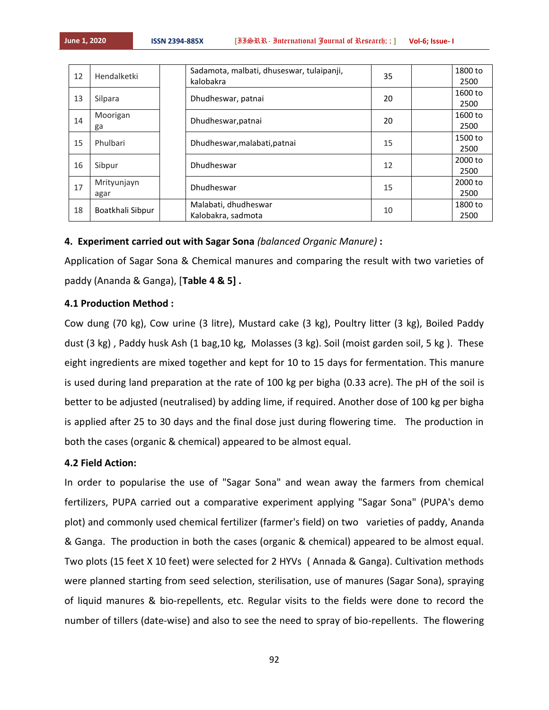| 12 | Hendalketki         | Sadamota, malbati, dhuseswar, tulaipanji,<br>kalobakra | 35 | 1800 to<br>2500 |
|----|---------------------|--------------------------------------------------------|----|-----------------|
| 13 | Silpara             | Dhudheswar, patnai                                     | 20 | 1600 to<br>2500 |
| 14 | Moorigan<br>ga      | Dhudheswar, patnai                                     | 20 | 1600 to<br>2500 |
| 15 | Phulbari            | Dhudheswar, malabati, patnai                           | 15 | 1500 to<br>2500 |
| 16 | Sibpur              | Dhudheswar                                             | 12 | 2000 to<br>2500 |
| 17 | Mrityunjayn<br>agar | Dhudheswar                                             | 15 | 2000 to<br>2500 |
| 18 | Boatkhali Sibpur    | Malabati, dhudheswar<br>Kalobakra, sadmota             | 10 | 1800 to<br>2500 |

## **4. Experiment carried out with Sagar Sona** *(balanced Organic Manure)* **:**

Application of Sagar Sona & Chemical manures and comparing the result with two varieties of paddy (Ananda & Ganga), [**Table 4 & 5] .**

## **4.1 Production Method :**

Cow dung (70 kg), Cow urine (3 litre), Mustard cake (3 kg), Poultry litter (3 kg), Boiled Paddy dust (3 kg) , Paddy husk Ash (1 bag,10 kg, Molasses (3 kg). Soil (moist garden soil, 5 kg ). These eight ingredients are mixed together and kept for 10 to 15 days for fermentation. This manure is used during land preparation at the rate of 100 kg per bigha (0.33 acre). The pH of the soil is better to be adjusted (neutralised) by adding lime, if required. Another dose of 100 kg per bigha is applied after 25 to 30 days and the final dose just during flowering time. The production in both the cases (organic & chemical) appeared to be almost equal.

## **4.2 Field Action:**

In order to popularise the use of "Sagar Sona" and wean away the farmers from chemical fertilizers, PUPA carried out a comparative experiment applying "Sagar Sona" (PUPA's demo plot) and commonly used chemical fertilizer (farmer's field) on two varieties of paddy, Ananda & Ganga. The production in both the cases (organic & chemical) appeared to be almost equal. Two plots (15 feet X 10 feet) were selected for 2 HYVs ( Annada & Ganga). Cultivation methods were planned starting from seed selection, sterilisation, use of manures (Sagar Sona), spraying of liquid manures & bio-repellents, etc. Regular visits to the fields were done to record the number of tillers (date-wise) and also to see the need to spray of bio-repellents. The flowering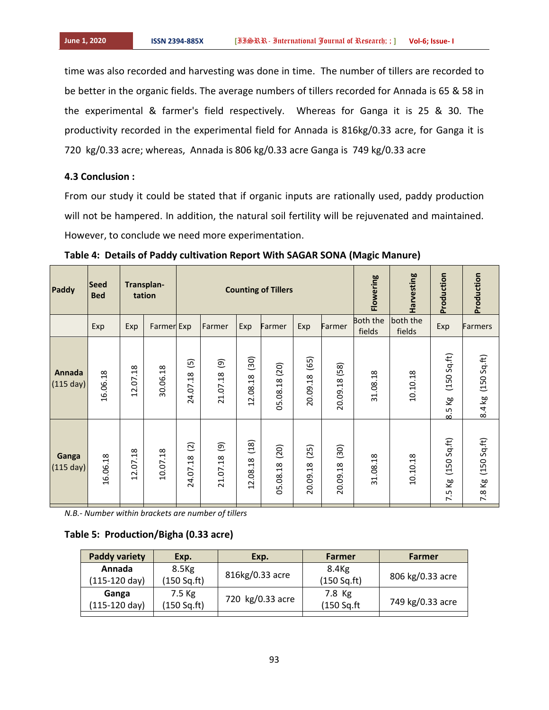time was also recorded and harvesting was done in time. The number of tillers are recorded to be better in the organic fields. The average numbers of tillers recorded for Annada is 65 & 58 in the experimental & farmer's field respectively. Whereas for Ganga it is 25 & 30. The productivity recorded in the experimental field for Annada is 816kg/0.33 acre, for Ganga it is 720 kg/0.33 acre; whereas, Annada is 806 kg/0.33 acre Ganga is 749 kg/0.33 acre

## **4.3 Conclusion :**

From our study it could be stated that if organic inputs are rationally used, paddy production will not be hampered. In addition, the natural soil fertility will be rejuvenated and maintained. However, to conclude we need more experimentation.

| Paddy                 | <b>Seed</b><br><b>Bed</b> |                        | Transplan-<br>tation | <b>Counting of Tillers</b>            |                                    |                                                                                            | Flowering                          | Harvesting                   | Production            | Production                |                    |                                                     |                       |
|-----------------------|---------------------------|------------------------|----------------------|---------------------------------------|------------------------------------|--------------------------------------------------------------------------------------------|------------------------------------|------------------------------|-----------------------|---------------------------|--------------------|-----------------------------------------------------|-----------------------|
|                       | Exp                       | Exp                    | Farmer Exp           |                                       | Farmer                             | Exp                                                                                        | Farmer                             | Exp                          | Farmer                | <b>Both the</b><br>fields | both the<br>fields | Exp                                                 | <b>Farmers</b>        |
| Annada<br>$(115$ day) | 16.06.18                  | $\frac{8}{2}$<br>12.07 | 30.06.18             | $\overline{5}$<br>24.07.18            | $\widehat{e}$<br>21.07.18          | (30)<br>$\infty$<br>12.08.1                                                                | 05.08.18 (20)                      | (65)<br>$\infty$<br>20.09.18 | 20.09.18 (58)         | 31.08.18                  | 10.10.18           | (150 Sq.ft)<br>$\overline{\kappa}$<br>$\frac{5}{8}$ | (150 Sq.ft)<br>8.4 kg |
| Ganga<br>$(115$ day)  | 16.06.18                  | $\frac{8}{2}$<br>12.07 | .18<br>10.07         | $\overline{2}$<br>$\infty$<br>24.07.1 | $\widehat{\mathbf{e}}$<br>21.07.18 | (18)<br>$\infty$<br>$\overline{ }$<br>$\overline{0}$<br>$\sim$<br>$\overline{\phantom{0}}$ | (20)<br>$\overline{.18}$<br>05.08. | (25)<br>.18<br>20.09         | (30)<br>.18<br>20.09. | 31.08.18                  | 10.10.18           | (150 Sq.ft)<br>ξg<br>7.5                            | (150 Sq.ft)<br>7.8 Kg |

**Table 4: Details of Paddy cultivation Report With SAGAR SONA (Magic Manure)**

*N.B.- Number within brackets are number of tillers*

## **Table 5: Production/Bigha (0.33 acre)**

| <b>Paddy variety</b> | Exp.              | Exp.             | Farmer            | Farmer           |
|----------------------|-------------------|------------------|-------------------|------------------|
| Annada               | 8.5 <sub>kg</sub> | 816kg/0.33 acre  | 8.4 <sub>kg</sub> |                  |
| (115-120 day)        | (150 Sq.ft)       |                  | (150 Sq.fr)       | 806 kg/0.33 acre |
| Ganga                | 7.5 Kg            | 720 kg/0.33 acre | 7.8 Kg            |                  |
| (115-120 day)        | (150 Sq.ft)       |                  | (150 Sq.ft)       | 749 kg/0.33 acre |
|                      |                   |                  |                   |                  |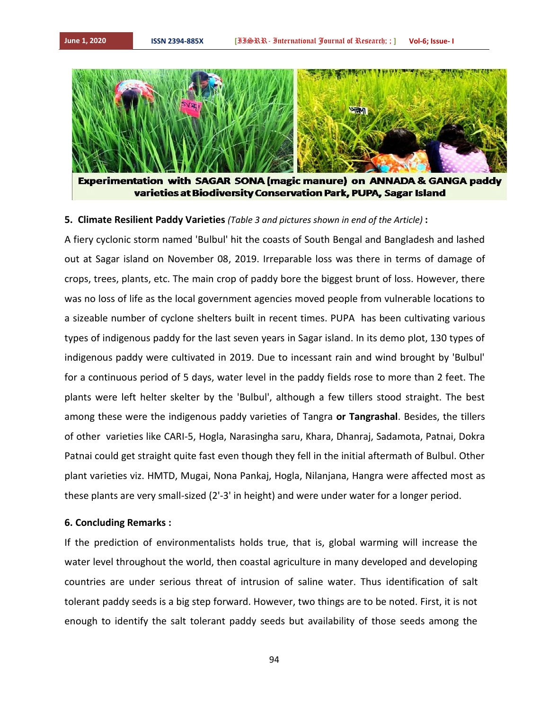

Experimentation with SAGAR SONA (magic manure) on ANNADA & GANGA paddy varieties at Biodiversity Conservation Park, PUPA, Sagar Island

## **5. Climate Resilient Paddy Varieties** *(Table 3 and pictures shown in end of the Article)* **:**

A fiery cyclonic storm named 'Bulbul' hit the coasts of South Bengal and Bangladesh and lashed out at Sagar island on November 08, 2019. Irreparable loss was there in terms of damage of crops, trees, plants, etc. The main crop of paddy bore the biggest brunt of loss. However, there was no loss of life as the local government agencies moved people from vulnerable locations to a sizeable number of cyclone shelters built in recent times. PUPA has been cultivating various types of indigenous paddy for the last seven years in Sagar island. In its demo plot, 130 types of indigenous paddy were cultivated in 2019. Due to incessant rain and wind brought by 'Bulbul' for a continuous period of 5 days, water level in the paddy fields rose to more than 2 feet. The plants were left helter skelter by the 'Bulbul', although a few tillers stood straight. The best among these were the indigenous paddy varieties of Tangra **or Tangrashal**. Besides, the tillers of other varieties like CARI-5, Hogla, Narasingha saru, Khara, Dhanraj, Sadamota, Patnai, Dokra Patnai could get straight quite fast even though they fell in the initial aftermath of Bulbul. Other plant varieties viz. HMTD, Mugai, Nona Pankaj, Hogla, Nilanjana, Hangra were affected most as these plants are very small-sized (2'-3' in height) and were under water for a longer period.

## **6. Concluding Remarks :**

If the prediction of environmentalists holds true, that is, global warming will increase the water level throughout the world, then coastal agriculture in many developed and developing countries are under serious threat of intrusion of saline water. Thus identification of salt tolerant paddy seeds is a big step forward. However, two things are to be noted. First, it is not enough to identify the salt tolerant paddy seeds but availability of those seeds among the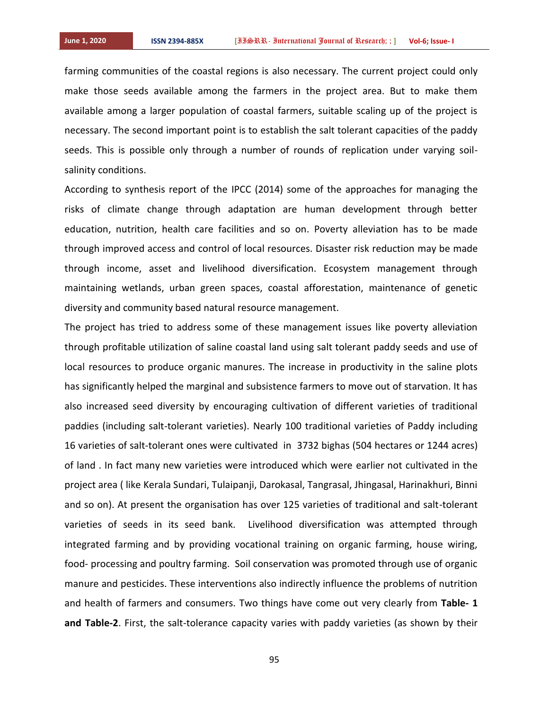farming communities of the coastal regions is also necessary. The current project could only make those seeds available among the farmers in the project area. But to make them available among a larger population of coastal farmers, suitable scaling up of the project is necessary. The second important point is to establish the salt tolerant capacities of the paddy seeds. This is possible only through a number of rounds of replication under varying soilsalinity conditions.

According to synthesis report of the IPCC (2014) some of the approaches for managing the risks of climate change through adaptation are human development through better education, nutrition, health care facilities and so on. Poverty alleviation has to be made through improved access and control of local resources. Disaster risk reduction may be made through income, asset and livelihood diversification. Ecosystem management through maintaining wetlands, urban green spaces, coastal afforestation, maintenance of genetic diversity and community based natural resource management.

The project has tried to address some of these management issues like poverty alleviation through profitable utilization of saline coastal land using salt tolerant paddy seeds and use of local resources to produce organic manures. The increase in productivity in the saline plots has significantly helped the marginal and subsistence farmers to move out of starvation. It has also increased seed diversity by encouraging cultivation of different varieties of traditional paddies (including salt-tolerant varieties). Nearly 100 traditional varieties of Paddy including 16 varieties of salt-tolerant ones were cultivated in 3732 bighas (504 hectares or 1244 acres) of land . In fact many new varieties were introduced which were earlier not cultivated in the project area ( like Kerala Sundari, Tulaipanji, Darokasal, Tangrasal, Jhingasal, Harinakhuri, Binni and so on). At present the organisation has over 125 varieties of traditional and salt-tolerant varieties of seeds in its seed bank. Livelihood diversification was attempted through integrated farming and by providing vocational training on organic farming, house wiring, food- processing and poultry farming. Soil conservation was promoted through use of organic manure and pesticides. These interventions also indirectly influence the problems of nutrition and health of farmers and consumers. Two things have come out very clearly from **Table- 1 and Table-2**. First, the salt-tolerance capacity varies with paddy varieties (as shown by their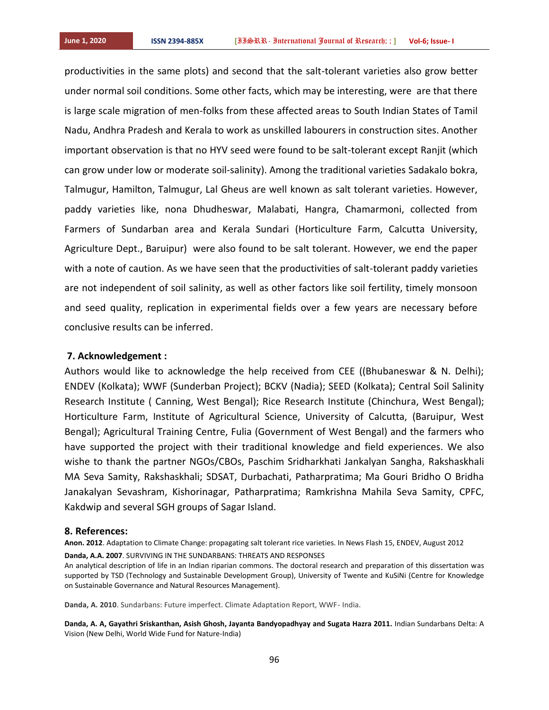productivities in the same plots) and second that the salt-tolerant varieties also grow better under normal soil conditions. Some other facts, which may be interesting, were are that there is large scale migration of men-folks from these affected areas to South Indian States of Tamil Nadu, Andhra Pradesh and Kerala to work as unskilled labourers in construction sites. Another important observation is that no HYV seed were found to be salt-tolerant except Ranjit (which can grow under low or moderate soil-salinity). Among the traditional varieties Sadakalo bokra, Talmugur, Hamilton, Talmugur, Lal Gheus are well known as salt tolerant varieties. However, paddy varieties like, nona Dhudheswar, Malabati, Hangra, Chamarmoni, collected from Farmers of Sundarban area and Kerala Sundari (Horticulture Farm, Calcutta University, Agriculture Dept., Baruipur) were also found to be salt tolerant. However, we end the paper with a note of caution. As we have seen that the productivities of salt-tolerant paddy varieties are not independent of soil salinity, as well as other factors like soil fertility, timely monsoon and seed quality, replication in experimental fields over a few years are necessary before conclusive results can be inferred.

#### **7. Acknowledgement :**

Authors would like to acknowledge the help received from CEE ((Bhubaneswar & N. Delhi); ENDEV (Kolkata); WWF (Sunderban Project); BCKV (Nadia); SEED (Kolkata); Central Soil Salinity Research Institute ( Canning, West Bengal); Rice Research Institute (Chinchura, West Bengal); Horticulture Farm, Institute of Agricultural Science, University of Calcutta, (Baruipur, West Bengal); Agricultural Training Centre, Fulia (Government of West Bengal) and the farmers who have supported the project with their traditional knowledge and field experiences. We also wishe to thank the partner NGOs/CBOs, Paschim Sridharkhati Jankalyan Sangha, Rakshaskhali MA Seva Samity, Rakshaskhali; SDSAT, Durbachati, Patharpratima; Ma Gouri Bridho O Bridha Janakalyan Sevashram, Kishorinagar, Patharpratima; Ramkrishna Mahila Seva Samity, CPFC, Kakdwip and several SGH groups of Sagar Island.

## **8. References:**

**Anon. 2012**. Adaptation to Climate Change: propagating salt tolerant rice varieties. In News Flash 15, ENDEV, August 2012

**Danda, A.A. 2007**. SURVIVING IN THE SUNDARBANS: THREATS AND RESPONSES

An analytical description of life in an Indian riparian commons. The doctoral research and preparation of this dissertation was supported by TSD (Technology and Sustainable Development Group), University of Twente and KuSiNi (Centre for Knowledge on Sustainable Governance and Natural Resources Management).

**Danda, A. 2010**. Sundarbans: Future imperfect. Climate Adaptation Report, WWF- India.

**Danda, A. A, Gayathri Sriskanthan, Asish Ghosh, Jayanta Bandyopadhyay and Sugata Hazra 2011.** Indian Sundarbans Delta: A Vision (New Delhi, World Wide Fund for Nature-India)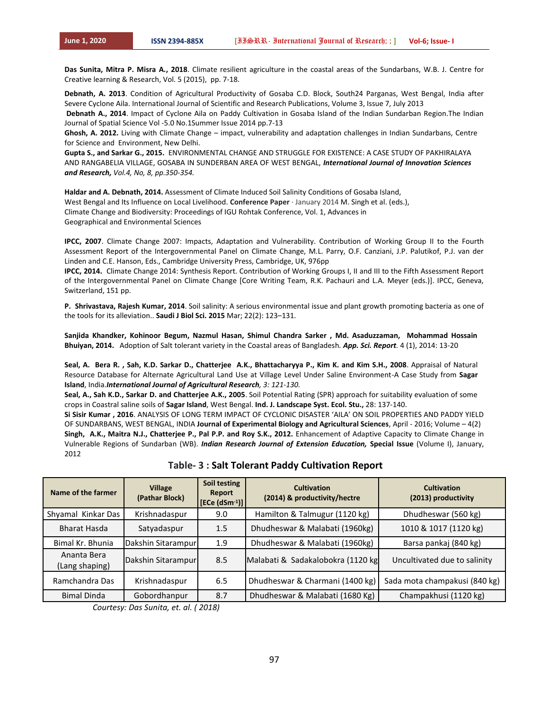**Das Sunita, Mitra P. Misra A., 2018**. Climate resilient agriculture in the coastal areas of the Sundarbans, W.B. J. Centre for Creative learning & Research, Vol. 5 (2015), pp. 7-18.

**Debnath, A. 2013**. Condition of Agricultural Productivity of Gosaba C.D. Block, South24 Parganas, West Bengal, India after Severe Cyclone Aila. International Journal of Scientific and Research Publications, Volume 3, Issue 7, July 2013

**Debnath A., 2014**. Impact of Cyclone Aila on Paddy Cultivation in Gosaba Island of the Indian Sundarban Region.The Indian Journal of Spatial Science Vol -5.0 No.1Summer Issue 2014 pp.7-13

**Ghosh, A. 2012.** Living with Climate Change – impact, vulnerability and adaptation challenges in Indian Sundarbans, Centre for Science and Environment, New Delhi.

**Gupta S., and Sarkar G., 2015.** ENVIRONMENTAL CHANGE AND STRUGGLE FOR EXISTENCE: A CASE STUDY OF PAKHIRALAYA AND RANGABELIA VILLAGE, GOSABA IN SUNDERBAN AREA OF WEST BENGAL, *International Journal of Innovation Sciences and Research, Vol.4, No, 8, pp.350-354.* 

**Haldar and A. Debnath, 2014.** Assessment of Climate Induced Soil Salinity Conditions of Gosaba Island, West Bengal and Its Influence on Local Livelihood. **Conference Paper** · January 2014 M. Singh et al. (eds.), Climate Change and Biodiversity: Proceedings of IGU Rohtak Conference, Vol. 1, Advances in Geographical and Environmental Sciences

**IPCC, 2007**. Climate Change 2007: Impacts, Adaptation and Vulnerability. Contribution of Working Group II to the Fourth Assessment Report of the Intergovernmental Panel on Climate Change, M.L. Parry, O.F. Canziani, J.P. Palutikof, P.J. van der Linden and C.E. Hanson, Eds., Cambridge University Press, Cambridge, UK, 976pp

**IPCC, 2014.** Climate Change 2014: Synthesis Report. Contribution of Working Groups I, II and III to the Fifth Assessment Report of the Intergovernmental Panel on Climate Change [Core Writing Team, R.K. Pachauri and L.A. Meyer (eds.)]. IPCC, Geneva, Switzerland, 151 pp.

**P. Shrivastava, Rajesh Kumar, 2014**[. Soil salinity: A serious environmental issue and plant growth promoting bacteria as one of](https://www.ncbi.nlm.nih.gov/pmc/articles/PMC4336437/)  [the tools for its alleviation..](https://www.ncbi.nlm.nih.gov/pmc/articles/PMC4336437/) **Saudi J Biol Sci. 2015** Mar; 22(2): 123–131.

**Sanjida Khandker, Kohinoor Begum, Nazmul Hasan, Shimul Chandra Sarker , Md. Asaduzzaman, Mohammad Hossain Bhuiyan, 2014.** Adoption of Salt tolerant variety in the Coastal areas of Bangladesh*. App. Sci. Report.* 4 (1), 2014: 13-20

**Seal, A. Bera R. , Sah, K.D. Sarkar D., Chatterjee A.K., Bhattacharyya P., Kim K. and Kim S.H., 2008**. Appraisal of Natural Resource Database for Alternate Agricultural Land Use at Village Level Under Saline Environment-A Case Study from **Sagar Island**, India.*International Journal of Agricultural Research, 3: 121-130.*

**Seal, A., Sah K.D., Sarkar D. and Chatterjee A.K., 2005**. Soil Potential Rating (SPR) approach for suitability evaluation of some crops in Coastral saline soils of **Sagar Island**, West Bengal. **Ind. J. Landscape Syst. Ecol. Stu.,** 28: 137-140.

**Si Sisir Kumar , 2016**. ANALYSIS OF LONG TERM IMPACT OF CYCLONIC DISASTER 'AILA' ON SOIL PROPERTIES AND PADDY YIELD OF SUNDARBANS, WEST BENGAL, INDIA **Journal of Experimental Biology and Agricultural Sciences**, April - 2016; Volume – 4(2) **Singh, A.K., Maitra N.J., Chatterjee P., Pal P.P. and Roy S.K., 2012.** Enhancement of Adaptive Capacity to Climate Change in Vulnerable Regions of Sundarban (WB). *Indian Research Journal of Extension Education,* **Special Issue** (Volume I), January, 2012

| Name of the farmer            | <b>Village</b><br>(Pathar Block) | Soil testing<br>Report<br>$\left[\text{ECe (dSm-1)}\right]$ | <b>Cultivation</b><br>(2014) & productivity/hectre | <b>Cultivation</b><br>(2013) productivity |
|-------------------------------|----------------------------------|-------------------------------------------------------------|----------------------------------------------------|-------------------------------------------|
| Shyamal Kinkar Das            | Krishnadaspur                    | 9.0                                                         | Hamilton & Talmugur (1120 kg)                      | Dhudheswar (560 kg)                       |
| Bharat Hasda                  | Satyadaspur                      | 1.5                                                         | Dhudheswar & Malabati (1960kg)                     | 1010 & 1017 (1120 kg)                     |
| Bimal Kr. Bhunia              | Dakshin Sitarampur               | 1.9                                                         | Dhudheswar & Malabati (1960kg)                     | Barsa pankaj (840 kg)                     |
| Ananta Bera<br>(Lang shaping) | Dakshin Sitarampur               | 8.5                                                         | Malabati & Sadakalobokra (1120 kg                  | Uncultivated due to salinity              |
| Ramchandra Das                | Krishnadaspur                    | 6.5                                                         | Dhudheswar & Charmani (1400 kg)                    | Sada mota champakusi (840 kg)             |
| <b>Bimal Dinda</b>            | Gobordhanpur                     | 8.7                                                         | Dhudheswar & Malabati (1680 Kg)                    | Champakhusi (1120 kg)                     |

**Table- 3 : Salt Tolerant Paddy Cultivation Report**

 *Courtesy: Das Sunita, et. al. ( 2018)*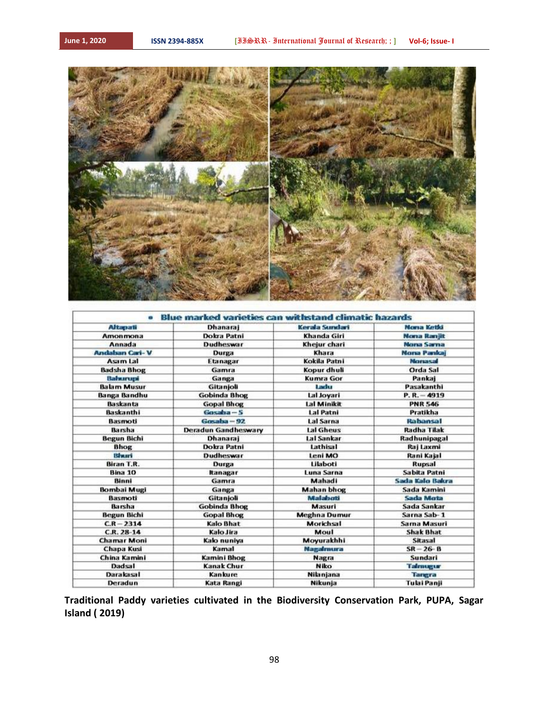

| Dokra Patni<br><b>Dudheswar</b><br>Durga<br>Etanagar<br>Gamra<br>Ganga | Khanda Giri<br>Khejur chari<br>Khara<br>Kokila Patni<br>Kopur dhuli | <b>Nona Raniit</b><br><b>Mona Sarna</b><br><b>Morsa Pankaj</b><br>Morrisasun |
|------------------------------------------------------------------------|---------------------------------------------------------------------|------------------------------------------------------------------------------|
|                                                                        |                                                                     |                                                                              |
|                                                                        |                                                                     |                                                                              |
|                                                                        |                                                                     |                                                                              |
|                                                                        |                                                                     |                                                                              |
|                                                                        |                                                                     | Orda Sal                                                                     |
|                                                                        | <b>Kumra Gor</b>                                                    | Pankaj                                                                       |
| Gitanjoli                                                              | Ladu                                                                | Pasakanthi                                                                   |
| Gobinda Bhog                                                           | Lal Joyari                                                          | $P. R. - 4919$                                                               |
| <b>Gopal Bhog</b>                                                      | Lal Minikit                                                         | <b>PNR 546</b>                                                               |
| $G$ asalaa $-S$                                                        | <b>Lal Patni</b>                                                    | Pratikha                                                                     |
| Gosaba - 92                                                            | <b>Lal Sarna</b>                                                    | Rahansal                                                                     |
| Deradun Gandheswary                                                    | Lal Gheus                                                           | <b>Radha Tilak</b>                                                           |
| Dhanaraj                                                               | <b>Lal Sankar</b>                                                   | Radhunipagal                                                                 |
| Dokra Patni                                                            | Lathisal                                                            | Raj Laxmi                                                                    |
| Dudheswar                                                              | Leni MO                                                             | Rani Kajal                                                                   |
| Durga                                                                  | Lilaboti                                                            | Rupsal                                                                       |
| Itanagar                                                               | Luna Sarna                                                          | Sabita Patni                                                                 |
| Gamra                                                                  | Mahadi                                                              | Sada Kalo Bakra                                                              |
| Ganga                                                                  | <b>Mahan bhog</b>                                                   | Sada Kamini                                                                  |
| Gitanjoli                                                              | Malabotti                                                           | <b>Sada Mota</b>                                                             |
| <b>Gobinda Bhog</b>                                                    | Masuri                                                              | Sada Sankar                                                                  |
| <b>Gopal Bhog</b>                                                      | <b>Meghna Dumur</b>                                                 | Sarna Sab-1                                                                  |
| <b>Kalo Bhat</b>                                                       | Morichsal                                                           | Sama Masuri                                                                  |
| Kalo Jira                                                              | Moul                                                                | <b>Shak Bhat</b>                                                             |
| Kalo nuniya                                                            | Moyurakhhi                                                          | Sitasal                                                                      |
| Kamal                                                                  | Magalmura                                                           | $SR-26-B$                                                                    |
| Kamini Bhog                                                            | Nagra                                                               | Sundari                                                                      |
| Kanak Chur                                                             | <b>Niko</b>                                                         | Talenuggur                                                                   |
| Kankure                                                                | Nilanjana                                                           | Tangra                                                                       |
|                                                                        | Kata Rangi                                                          | Nikunja                                                                      |

**Traditional Paddy varieties cultivated in the Biodiversity Conservation Park, PUPA, Sagar Island ( 2019)**